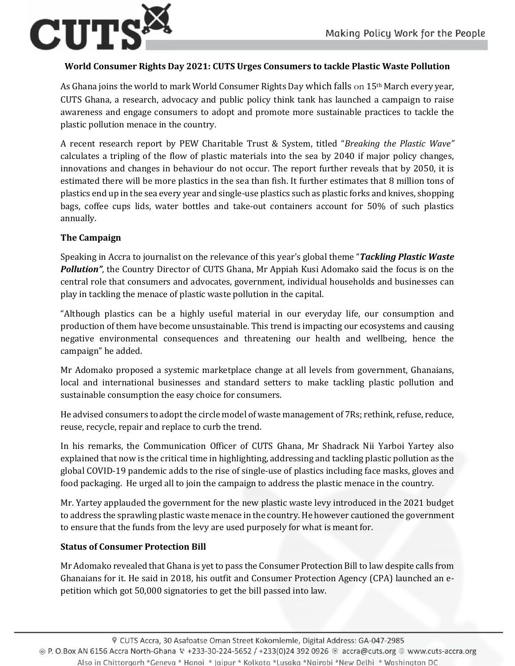

## **World Consumer Rights Day 2021: CUTS Urges Consumers to tackle Plastic Waste Pollution**

As Ghana joins the world to mark World Consumer Rights Day which falls on 15th March every year, CUTS Ghana, a research, advocacy and public policy think tank has launched a campaign to raise awareness and engage consumers to adopt and promote more sustainable practices to tackle the plastic pollution menace in the country.

A recent research report by PEW Charitable Trust & System, titled "*Breaking the Plastic Wave"* calculates a tripling of the flow of plastic materials into the sea by 2040 if major policy changes, innovations and changes in behaviour do not occur. The report further reveals that by 2050, it is estimated there will be more plastics in the sea than fish. It further estimates that 8 million tons of plastics end up in the sea every year and single-use plastics such as plastic forks and knives, shopping bags, coffee cups lids, water bottles and take-out containers account for 50% of such plastics annually.

## **The Campaign**

Speaking in Accra to journalist on the relevance of this year's global theme "*Tackling Plastic Waste Pollution"*, the Country Director of CUTS Ghana, Mr Appiah Kusi Adomako said the focus is on the central role that consumers and advocates, government, individual households and businesses can play in tackling the menace of plastic waste pollution in the capital.

"Although plastics can be a highly useful material in our everyday life, our consumption and production of them have become unsustainable. This trend is impacting our ecosystems and causing negative environmental consequences and threatening our health and wellbeing, hence the campaign" he added.

Mr Adomako proposed a systemic marketplace change at all levels from government, Ghanaians, local and international businesses and standard setters to make tackling plastic pollution and sustainable consumption the easy choice for consumers.

He advised consumers to adopt the circle model of waste management of 7Rs; rethink, refuse, reduce, reuse, recycle, repair and replace to curb the trend.

In his remarks, the Communication Officer of CUTS Ghana, Mr Shadrack Nii Yarboi Yartey also explained that now is the critical time in highlighting, addressing and tackling plastic pollution as the global COVID-19 pandemic adds to the rise of single-use of plastics including face masks, gloves and food packaging. He urged all to join the campaign to address the plastic menace in the country.

Mr. Yartey applauded the government for the new plastic waste levy introduced in the 2021 budget to address the sprawling plastic waste menace in the country. He however cautioned the government to ensure that the funds from the levy are used purposely for what is meant for.

## **Status of Consumer Protection Bill**

Mr Adomako revealed that Ghana is yet to pass the Consumer Protection Bill to law despite calls from Ghanaians for it. He said in 2018, his outfit and Consumer Protection Agency (CPA) launched an epetition which got 50,000 signatories to get the bill passed into law.